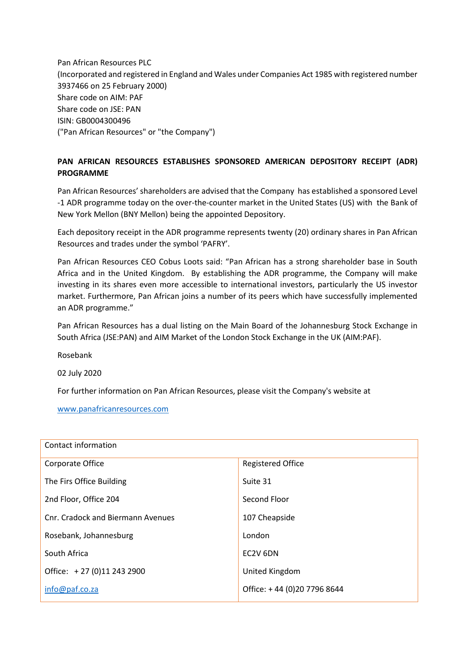Pan African Resources PLC (Incorporated and registered in England and Wales under Companies Act 1985 with registered number 3937466 on 25 February 2000) Share code on AIM: PAF Share code on JSE: PAN ISIN: GB0004300496 ("Pan African Resources" or "the Company")

## **PAN AFRICAN RESOURCES ESTABLISHES SPONSORED AMERICAN DEPOSITORY RECEIPT (ADR) PROGRAMME**

Pan African Resources' shareholders are advised that the Company has established a sponsored Level -1 ADR programme today on the over-the-counter market in the United States (US) with the Bank of New York Mellon (BNY Mellon) being the appointed Depository.

Each depository receipt in the ADR programme represents twenty (20) ordinary shares in Pan African Resources and trades under the symbol 'PAFRY'.

Pan African Resources CEO Cobus Loots said: "Pan African has a strong shareholder base in South Africa and in the United Kingdom. By establishing the ADR programme, the Company will make investing in its shares even more accessible to international investors, particularly the US investor market. Furthermore, Pan African joins a number of its peers which have successfully implemented an ADR programme."

Pan African Resources has a dual listing on the Main Board of the Johannesburg Stock Exchange in South Africa (JSE:PAN) and AIM Market of the London Stock Exchange in the UK (AIM:PAF).

Rosebank

02 July 2020

For further information on Pan African Resources, please visit the Company's website at

[www.panafricanresources.com](http://www.panafricanresources.com/)

| Contact information               |                             |
|-----------------------------------|-----------------------------|
| Corporate Office                  | <b>Registered Office</b>    |
| The Firs Office Building          | Suite 31                    |
| 2nd Floor, Office 204             | Second Floor                |
| Cnr. Cradock and Biermann Avenues | 107 Cheapside               |
| Rosebank, Johannesburg            | London                      |
| South Africa                      | EC2V 6DN                    |
| Office: +27 (0)11 243 2900        | United Kingdom              |
| info@paf.co.za                    | Office: +44 (0)20 7796 8644 |